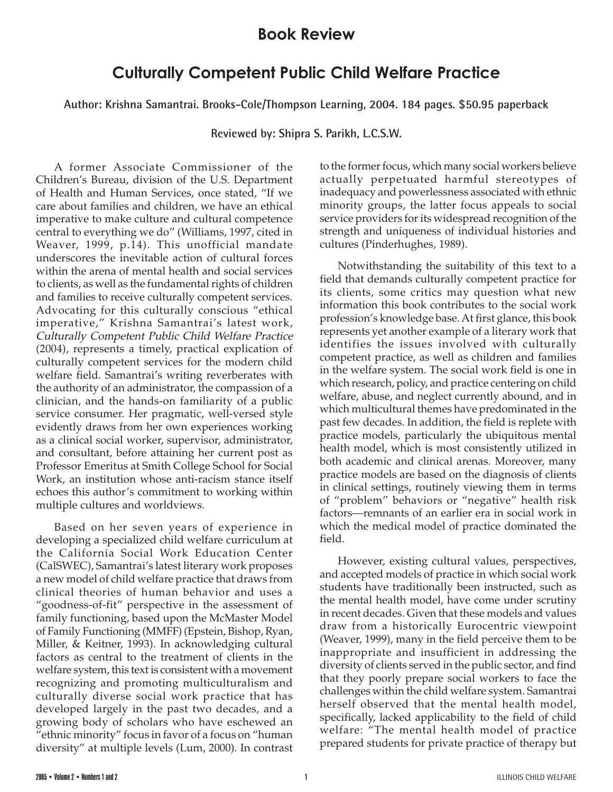## **Book Review**

## **Culturally Competent Public Child Welfare Practice**

**Author: Krishna Samantrai. Brooks-Cole/Thompson Learning, 2004. 184 pages. \$50.95 paperback**

**Reviewed by: Shipra S. Parikh, L.C.S.W.**

A former Associate Commissioner of the Children's Bureau, division of the U.S. Department of Health and Human Services, once stated, "If we care about families and children, we have an ethical imperative to make culture and cultural competence central to everything we do" (Williams, 1997, cited in Weaver, 1999, p.14). This unofficial mandate underscores the inevitable action of cultural forces within the arena of mental health and social services to clients, as well as the fundamental rights of children and families to receive culturally competent services. Advocating for this culturally conscious "ethical imperative," Krishna Samantrai's latest work, Culturally Competent Public Child Welfare Practice (2004), represents a timely, practical explication of culturally competent services for the modern child welfare field. Samantrai's writing reverberates with the authority of an administrator, the compassion of a clinician, and the hands-on familiarity of a public service consumer. Her pragmatic, well-versed style evidently draws from her own experiences working as a clinical social worker, supervisor, administrator, and consultant, before attaining her current post as Professor Emeritus at Smith College School for Social Work, an institution whose anti-racism stance itself echoes this author's commitment to working within multiple cultures and worldviews.

Based on her seven years of experience in developing a specialized child welfare curriculum at the California Social Work Education Center (CalSWEC), Samantrai's latest literary work proposes a new model of child welfare practice that draws from clinical theories of human behavior and uses a "goodness-of-fit" perspective in the assessment of family functioning, based upon the McMaster Model of Family Functioning (MMFF) (Epstein, Bishop, Ryan, Miller, & Keitner, 1993). In acknowledging cultural factors as central to the treatment of clients in the welfare system, this text is consistent with a movement recognizing and promoting multiculturalism and culturally diverse social work practice that has developed largely in the past two decades, and a growing body of scholars who have eschewed an "ethnic minority" focus in favor of a focus on "human diversity" at multiple levels (Lum, 2000). In contrast

to the former focus, which many social workers believe actually perpetuated harmful stereotypes of inadequacy and powerlessness associated with ethnic minority groups, the latter focus appeals to social service providers for its widespread recognition of the strength and uniqueness of individual histories and cultures (Pinderhughes, 1989).

Notwithstanding the suitability of this text to a field that demands culturally competent practice for its clients, some critics may question what new information this book contributes to the social work profession's knowledge base. At first glance, this book represents yet another example of a literary work that identifies the issues involved with culturally competent practice, as well as children and families in the welfare system. The social work field is one in which research, policy, and practice centering on child welfare, abuse, and neglect currently abound, and in which multicultural themes have predominated in the past few decades. In addition, the field is replete with practice models, particularly the ubiquitous mental health model, which is most consistently utilized in both academic and clinical arenas. Moreover, many practice models are based on the diagnosis of clients in clinical settings, routinely viewing them in terms of "problem" behaviors or "negative" health risk factors—remnants of an earlier era in social work in which the medical model of practice dominated the field.

However, existing cultural values, perspectives, and accepted models of practice in which social work students have traditionally been instructed, such as the mental health model, have come under scrutiny in recent decades. Given that these models and values draw from a historically Eurocentric viewpoint (Weaver, 1999), many in the field perceive them to be inappropriate and insufficient in addressing the diversity of clients served in the public sector, and find that they poorly prepare social workers to face the challenges within the child welfare system. Samantrai herself observed that the mental health model, specifically, lacked applicability to the field of child welfare: "The mental health model of practice prepared students for private practice of therapy but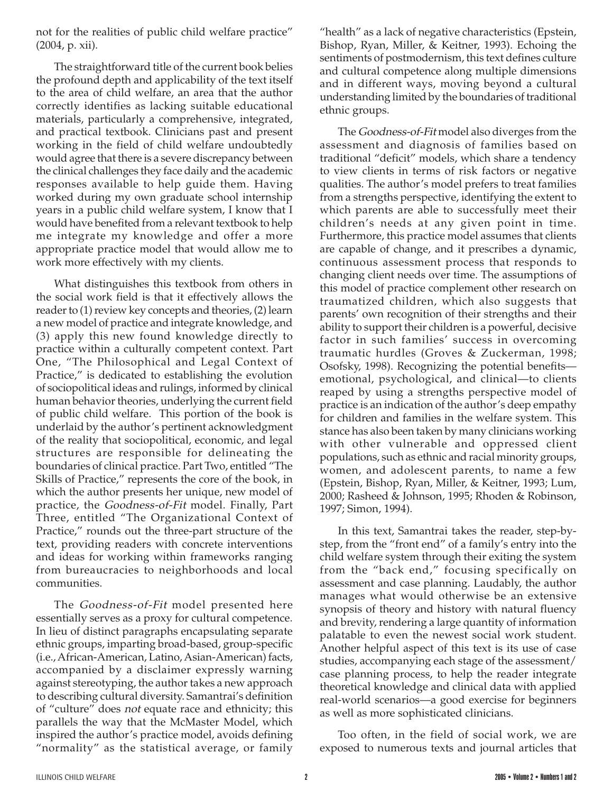not for the realities of public child welfare practice" (2004, p. xii).

The straightforward title of the current book belies the profound depth and applicability of the text itself to the area of child welfare, an area that the author correctly identifies as lacking suitable educational materials, particularly a comprehensive, integrated, and practical textbook. Clinicians past and present working in the field of child welfare undoubtedly would agree that there is a severe discrepancy between the clinical challenges they face daily and the academic responses available to help guide them. Having worked during my own graduate school internship years in a public child welfare system, I know that I would have benefited from a relevant textbook to help me integrate my knowledge and offer a more appropriate practice model that would allow me to work more effectively with my clients.

What distinguishes this textbook from others in the social work field is that it effectively allows the reader to (1) review key concepts and theories, (2) learn a new model of practice and integrate knowledge, and (3) apply this new found knowledge directly to practice within a culturally competent context. Part One, "The Philosophical and Legal Context of Practice," is dedicated to establishing the evolution of sociopolitical ideas and rulings, informed by clinical human behavior theories, underlying the current field of public child welfare. This portion of the book is underlaid by the author's pertinent acknowledgment of the reality that sociopolitical, economic, and legal structures are responsible for delineating the boundaries of clinical practice. Part Two, entitled "The Skills of Practice," represents the core of the book, in which the author presents her unique, new model of practice, the Goodness-of-Fit model. Finally, Part Three, entitled "The Organizational Context of Practice," rounds out the three-part structure of the text, providing readers with concrete interventions and ideas for working within frameworks ranging from bureaucracies to neighborhoods and local communities.

The Goodness-of-Fit model presented here essentially serves as a proxy for cultural competence. In lieu of distinct paragraphs encapsulating separate ethnic groups, imparting broad-based, group-specific (i.e., African-American, Latino, Asian-American) facts, accompanied by a disclaimer expressly warning against stereotyping, the author takes a new approach to describing cultural diversity. Samantrai's definition of "culture" does not equate race and ethnicity; this parallels the way that the McMaster Model, which inspired the author's practice model, avoids defining "normality" as the statistical average, or family

"health" as a lack of negative characteristics (Epstein, Bishop, Ryan, Miller, & Keitner, 1993). Echoing the sentiments of postmodernism, this text defines culture and cultural competence along multiple dimensions and in different ways, moving beyond a cultural understanding limited by the boundaries of traditional ethnic groups.

The Goodness-of-Fit model also diverges from the assessment and diagnosis of families based on traditional "deficit" models, which share a tendency to view clients in terms of risk factors or negative qualities. The author's model prefers to treat families from a strengths perspective, identifying the extent to which parents are able to successfully meet their children's needs at any given point in time. Furthermore, this practice model assumes that clients are capable of change, and it prescribes a dynamic, continuous assessment process that responds to changing client needs over time. The assumptions of this model of practice complement other research on traumatized children, which also suggests that parents' own recognition of their strengths and their ability to support their children is a powerful, decisive factor in such families' success in overcoming traumatic hurdles (Groves & Zuckerman, 1998; Osofsky, 1998). Recognizing the potential benefits emotional, psychological, and clinical—to clients reaped by using a strengths perspective model of practice is an indication of the author's deep empathy for children and families in the welfare system. This stance has also been taken by many clinicians working with other vulnerable and oppressed client populations, such as ethnic and racial minority groups, women, and adolescent parents, to name a few (Epstein, Bishop, Ryan, Miller, & Keitner, 1993; Lum, 2000; Rasheed & Johnson, 1995; Rhoden & Robinson, 1997; Simon, 1994).

In this text, Samantrai takes the reader, step-bystep, from the "front end" of a family's entry into the child welfare system through their exiting the system from the "back end," focusing specifically on assessment and case planning. Laudably, the author manages what would otherwise be an extensive synopsis of theory and history with natural fluency and brevity, rendering a large quantity of information palatable to even the newest social work student. Another helpful aspect of this text is its use of case studies, accompanying each stage of the assessment/ case planning process, to help the reader integrate theoretical knowledge and clinical data with applied real-world scenarios—a good exercise for beginners as well as more sophisticated clinicians.

Too often, in the field of social work, we are exposed to numerous texts and journal articles that